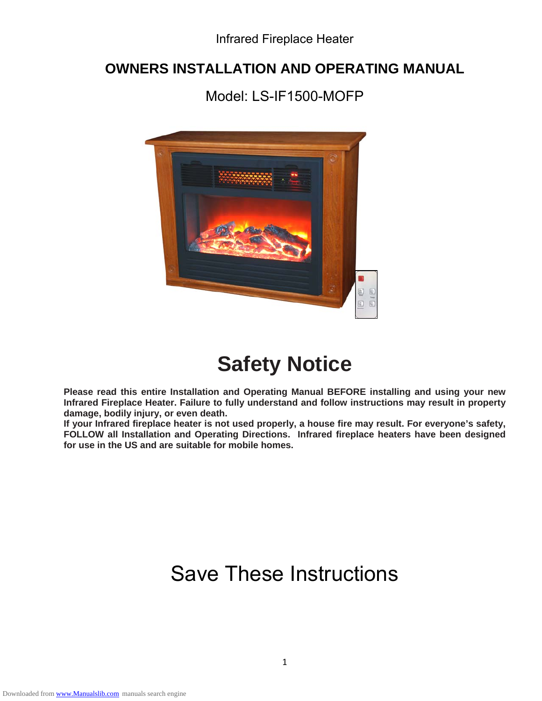Infrared Fireplace Heater

### **OWNERS INSTALLATION AND OPERATING MANUAL**

Model: LS-IF1500-MOFP



# **Safety Notice**

**Please read this entire Installation and Operating Manual BEFORE installing and using your new Infrared Fireplace Heater. Failure to fully understand and follow instructions may result in property damage, bodily injury, or even death.** 

**If your Infrared fireplace heater is not used properly, a house fire may result. For everyone's safety, FOLLOW all Installation and Operating Directions. Infrared fireplace heaters have been designed for use in the US and are suitable for mobile homes.**

# Save These Instructions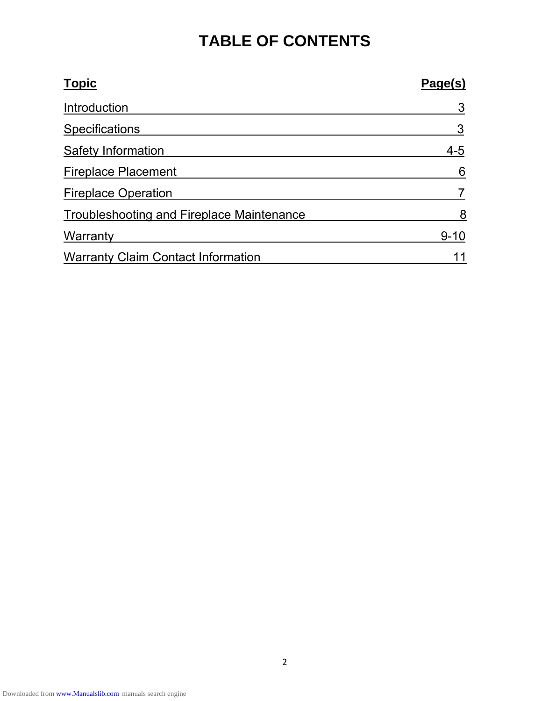## **TABLE OF CONTENTS**

| <b>Topic</b>                                     | Page(s)  |
|--------------------------------------------------|----------|
| Introduction                                     | 3        |
| <b>Specifications</b>                            | 3        |
| Safety Information                               | $4 - 5$  |
| <b>Fireplace Placement</b>                       | 6        |
| <b>Fireplace Operation</b>                       |          |
| <b>Troubleshooting and Fireplace Maintenance</b> | 8        |
| Warranty                                         | $9 - 10$ |
| <b>Warranty Claim Contact Information</b>        |          |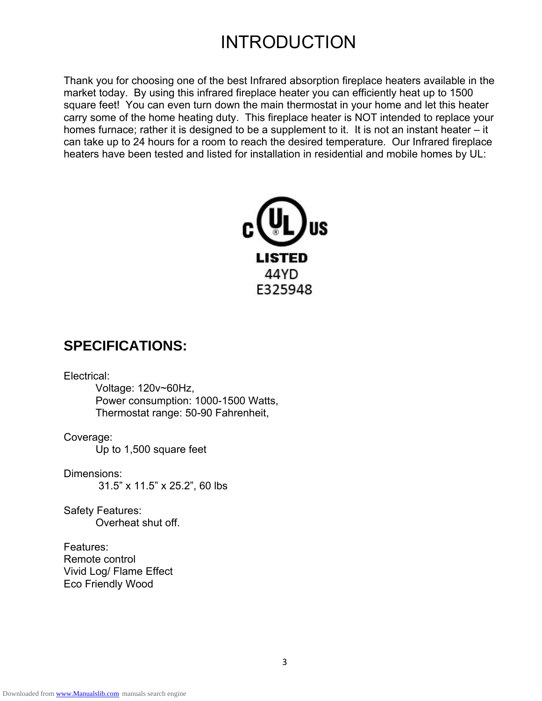## INTRODUCTION

Thank you for choosing one of the best Infrared absorption fireplace heaters available in the market today. By using this infrared fireplace heater you can efficiently heat up to 1500 square feet! You can even turn down the main thermostat in your home and let this heater carry some of the home heating duty. This fireplace heater is NOT intended to replace your homes furnace; rather it is designed to be a supplement to it. It is not an instant heater – it can take up to 24 hours for a room to reach the desired temperature. Our Infrared fireplace heaters have been tested and listed for installation in residential and mobile homes by UL:



### **SPECIFICATIONS:**

Electrical:

Voltage: 120v~60Hz, Power consumption: 1000-1500 Watts, Thermostat range: 50-90 Fahrenheit,

Coverage:

Up to 1,500 square feet

Dimensions: 31.5" x 11.5" x 25.2", 60 lbs

Safety Features: Overheat shut off.

Features: Remote control Vivid Log/ Flame Effect Eco Friendly Wood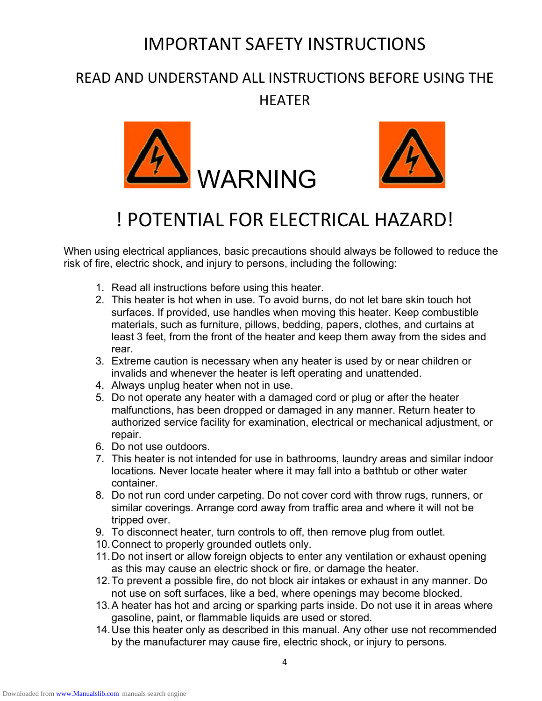### IMPORTANT SAFETY INSTRUCTIONS

### READ AND UNDERSTAND ALL INSTRUCTIONS BEFORE USING THE **HFATFR**





# ! POTENTIAL FOR ELECTRICAL HAZARD!

When using electrical appliances, basic precautions should always be followed to reduce the risk of fire, electric shock, and injury to persons, including the following:

- 1. Read all instructions before using this heater.
- 2. This heater is hot when in use. To avoid burns, do not let bare skin touch hot surfaces. If provided, use handles when moving this heater. Keep combustible materials, such as furniture, pillows, bedding, papers, clothes, and curtains at least 3 feet, from the front of the heater and keep them away from the sides and rear.
- 3. Extreme caution is necessary when any heater is used by or near children or invalids and whenever the heater is left operating and unattended.
- 4. Always unplug heater when not in use.
- 5. Do not operate any heater with a damaged cord or plug or after the heater malfunctions, has been dropped or damaged in any manner. Return heater to authorized service facility for examination, electrical or mechanical adjustment, or repair.
- 6. Do not use outdoors.
- 7. This heater is not intended for use in bathrooms, laundry areas and similar indoor locations. Never locate heater where it may fall into a bathtub or other water container.
- 8. Do not run cord under carpeting. Do not cover cord with throw rugs, runners, or similar coverings. Arrange cord away from traffic area and where it will not be tripped over.
- 9. To disconnect heater, turn controls to off, then remove plug from outlet.
- 10. Connect to properly grounded outlets only.
- 11. Do not insert or allow foreign objects to enter any ventilation or exhaust opening as this may cause an electric shock or fire, or damage the heater.
- 12. To prevent a possible fire, do not block air intakes or exhaust in any manner. Do not use on soft surfaces, like a bed, where openings may become blocked.
- 13. A heater has hot and arcing or sparking parts inside. Do not use it in areas where gasoline, paint, or flammable liquids are used or stored.
- 14. Use this heater only as described in this manual. Any other use not recommended by the manufacturer may cause fire, electric shock, or injury to persons.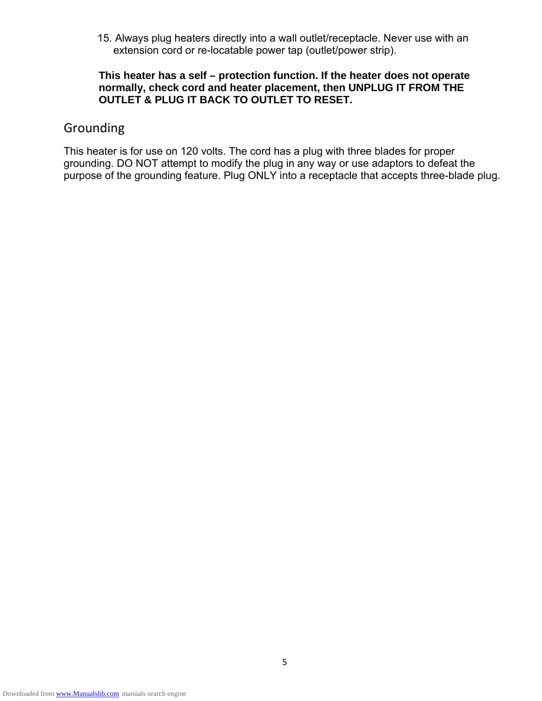15. Always plug heaters directly into a wall outlet/receptacle. Never use with an extension cord or re-locatable power tap (outlet/power strip).

#### **This heater has a self – protection function. If the heater does not operate normally, check cord and heater placement, then UNPLUG IT FROM THE OUTLET & PLUG IT BACK TO OUTLET TO RESET.**

### Grounding

This heater is for use on 120 volts. The cord has a plug with three blades for proper grounding. DO NOT attempt to modify the plug in any way or use adaptors to defeat the purpose of the grounding feature. Plug ONLY into a receptacle that accepts three-blade plug.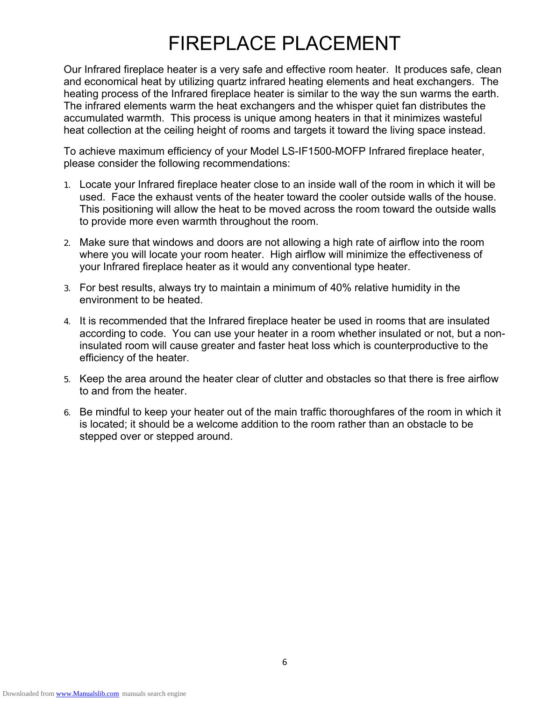# FIREPLACE PLACEMENT

Our Infrared fireplace heater is a very safe and effective room heater. It produces safe, clean and economical heat by utilizing quartz infrared heating elements and heat exchangers. The heating process of the Infrared fireplace heater is similar to the way the sun warms the earth. The infrared elements warm the heat exchangers and the whisper quiet fan distributes the accumulated warmth. This process is unique among heaters in that it minimizes wasteful heat collection at the ceiling height of rooms and targets it toward the living space instead.

To achieve maximum efficiency of your Model LS-IF1500-MOFP Infrared fireplace heater, please consider the following recommendations:

- 1. Locate your Infrared fireplace heater close to an inside wall of the room in which it will be used. Face the exhaust vents of the heater toward the cooler outside walls of the house. This positioning will allow the heat to be moved across the room toward the outside walls to provide more even warmth throughout the room.
- 2. Make sure that windows and doors are not allowing a high rate of airflow into the room where you will locate your room heater. High airflow will minimize the effectiveness of your Infrared fireplace heater as it would any conventional type heater.
- 3. For best results, always try to maintain a minimum of 40% relative humidity in the environment to be heated.
- 4. It is recommended that the Infrared fireplace heater be used in rooms that are insulated according to code. You can use your heater in a room whether insulated or not, but a noninsulated room will cause greater and faster heat loss which is counterproductive to the efficiency of the heater.
- 5. Keep the area around the heater clear of clutter and obstacles so that there is free airflow to and from the heater.
- 6. Be mindful to keep your heater out of the main traffic thoroughfares of the room in which it is located; it should be a welcome addition to the room rather than an obstacle to be stepped over or stepped around.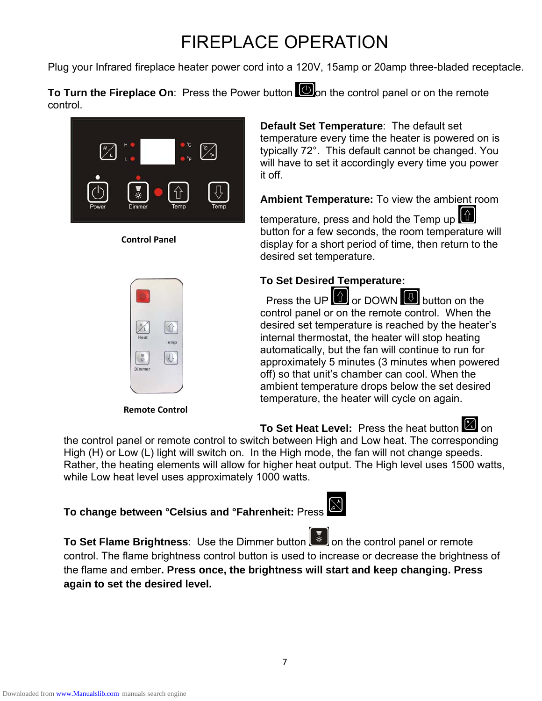# FIREPLACE OPERATION

Plug your Infrared fireplace heater power cord into a 120V, 15amp or 20amp three-bladed receptacle.

**To Turn the Fireplace On:** Press the Power button **O**on the control panel or on the remote control.



### **Control Panel**



**Remote Control**

**Default Set Temperature**: The default set temperature every time the heater is powered on is typically 72°. This default cannot be changed. You will have to set it accordingly every time you power it off.

**Ambient Temperature:** To view the ambient room

temperature, press and hold the Temp up button for a few seconds, the room temperature will display for a short period of time, then return to the desired set temperature.

### **To Set Desired Temperature:**

Press the UP **o**r DOWN **button** on the control panel or on the remote control. When the desired set temperature is reached by the heater's internal thermostat, the heater will stop heating automatically, but the fan will continue to run for approximately 5 minutes (3 minutes when powered off) so that unit's chamber can cool. When the ambient temperature drops below the set desired temperature, the heater will cycle on again.

To Set Heat Level: Press the heat button **the set of** on

the control panel or remote control to switch between High and Low heat. The corresponding High (H) or Low (L) light will switch on. In the High mode, the fan will not change speeds. Rather, the heating elements will allow for higher heat output. The High level uses 1500 watts, while Low heat level uses approximately 1000 watts.

# **To change between °Celsius and °Fahrenheit:** Press

**To Set Flame Brightness**: Use the Dimmer button **or the control panel or remote** control. The flame brightness control button is used to increase or decrease the brightness of the flame and ember**. Press once, the brightness will start and keep changing. Press again to set the desired level.**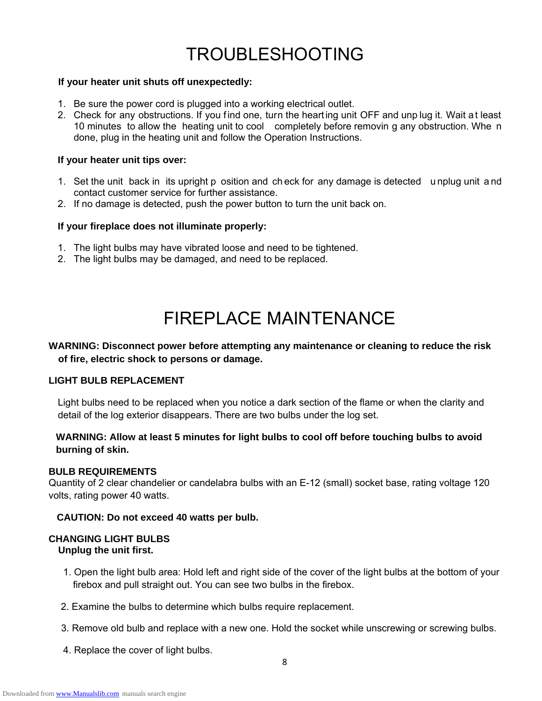# TROUBLESHOOTING

#### **If your heater unit shuts off unexpectedly:**

- 1. Be sure the power cord is plugged into a working electrical outlet.
- 2. Check for any obstructions. If you find one, turn the hearting unit OFF and unp lug it. Wait at least 10 minutes to allow the heating unit to cool completely before removin g any obstruction. Whe n done, plug in the heating unit and follow the Operation Instructions.

#### **If your heater unit tips over:**

- 1. Set the unit back in its upright p osition and ch eck for any damage is detected u nplug unit a nd contact customer service for further assistance.
- 2. If no damage is detected, push the power button to turn the unit back on.

#### **If your fireplace does not illuminate properly:**

- 1. The light bulbs may have vibrated loose and need to be tightened.
- 2. The light bulbs may be damaged, and need to be replaced.

## FIREPLACE MAINTENANCE

#### **WARNING: Disconnect power before attempting any maintenance or cleaning to reduce the risk of fire, electric shock to persons or damage.**

#### **LIGHT BULB REPLACEMENT**

Light bulbs need to be replaced when you notice a dark section of the flame or when the clarity and detail of the log exterior disappears. There are two bulbs under the log set.

### **WARNING: Allow at least 5 minutes for light bulbs to cool off before touching bulbs to avoid burning of skin.**

#### **BULB REQUIREMENTS**

Quantity of 2 clear chandelier or candelabra bulbs with an E-12 (small) socket base, rating voltage 120 volts, rating power 40 watts.

#### **CAUTION: Do not exceed 40 watts per bulb.**

#### **CHANGING LIGHT BULBS Unplug the unit first.**

- 1. Open the light bulb area: Hold left and right side of the cover of the light bulbs at the bottom of your firebox and pull straight out. You can see two bulbs in the firebox.
- 2. Examine the bulbs to determine which bulbs require replacement.
- 3. Remove old bulb and replace with a new one. Hold the socket while unscrewing or screwing bulbs.
- 4. Replace the cover of light bulbs.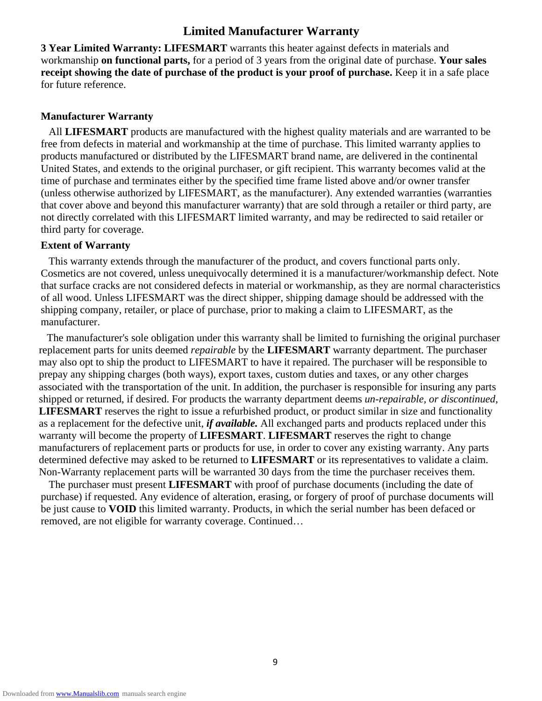### **Limited Manufacturer Warranty**

**3 Year Limited Warranty: LIFESMART** warrants this heater against defects in materials and workmanship **on functional parts,** for a period of 3 years from the original date of purchase. **Your sales receipt showing the date of purchase of the product is your proof of purchase.** Keep it in a safe place for future reference.

#### **Manufacturer Warranty**

 All **LIFESMART** products are manufactured with the highest quality materials and are warranted to be free from defects in material and workmanship at the time of purchase. This limited warranty applies to products manufactured or distributed by the LIFESMART brand name, are delivered in the continental United States, and extends to the original purchaser, or gift recipient. This warranty becomes valid at the time of purchase and terminates either by the specified time frame listed above and/or owner transfer (unless otherwise authorized by LIFESMART, as the manufacturer). Any extended warranties (warranties that cover above and beyond this manufacturer warranty) that are sold through a retailer or third party, are not directly correlated with this LIFESMART limited warranty, and may be redirected to said retailer or third party for coverage.

#### **Extent of Warranty**

This warranty extends through the manufacturer of the product, and covers functional parts only. Cosmetics are not covered, unless unequivocally determined it is a manufacturer/workmanship defect. Note that surface cracks are not considered defects in material or workmanship, as they are normal characteristics of all wood. Unless LIFESMART was the direct shipper, shipping damage should be addressed with the shipping company, retailer, or place of purchase, prior to making a claim to LIFESMART, as the manufacturer.

 The manufacturer's sole obligation under this warranty shall be limited to furnishing the original purchaser replacement parts for units deemed *repairable* by the **LIFESMART** warranty department. The purchaser may also opt to ship the product to LIFESMART to have it repaired. The purchaser will be responsible to prepay any shipping charges (both ways), export taxes, custom duties and taxes, or any other charges associated with the transportation of the unit. In addition, the purchaser is responsible for insuring any parts shipped or returned, if desired. For products the warranty department deems *un-repairable, or discontinued,* **LIFESMART** reserves the right to issue a refurbished product, or product similar in size and functionality as a replacement for the defective unit, *if available.* All exchanged parts and products replaced under this warranty will become the property of **LIFESMART**. **LIFESMART** reserves the right to change manufacturers of replacement parts or products for use, in order to cover any existing warranty. Any parts determined defective may asked to be returned to **LIFESMART** or its representatives to validate a claim. Non-Warranty replacement parts will be warranted 30 days from the time the purchaser receives them.

 The purchaser must present **LIFESMART** with proof of purchase documents (including the date of purchase) if requested. Any evidence of alteration, erasing, or forgery of proof of purchase documents will be just cause to **VOID** this limited warranty. Products, in which the serial number has been defaced or removed, are not eligible for warranty coverage. Continued…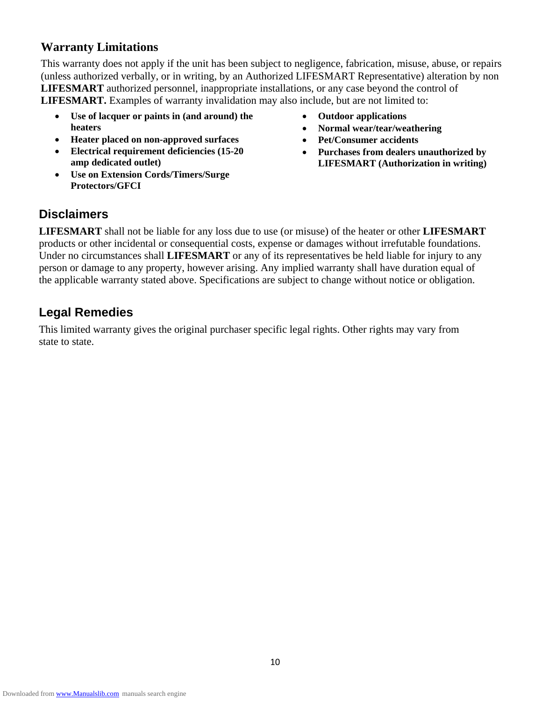### **Warranty Limitations**

This warranty does not apply if the unit has been subject to negligence, fabrication, misuse, abuse, or repairs (unless authorized verbally, or in writing, by an Authorized LIFESMART Representative) alteration by non **LIFESMART** authorized personnel, inappropriate installations, or any case beyond the control of **LIFESMART.** Examples of warranty invalidation may also include, but are not limited to:

- **Use of lacquer or paints in (and around) the heaters**
- **Heater placed on non-approved surfaces**
- **Electrical requirement deficiencies (15-20 amp dedicated outlet)**
- **Use on Extension Cords/Timers/Surge Protectors/GFCI**
- **Outdoor applications**
- **Normal wear/tear/weathering**
- **Pet/Consumer accidents**
- **Purchases from dealers unauthorized by LIFESMART (Authorization in writing)**

### **Disclaimers**

**LIFESMART** shall not be liable for any loss due to use (or misuse) of the heater or other **LIFESMART**  products or other incidental or consequential costs, expense or damages without irrefutable foundations. Under no circumstances shall **LIFESMART** or any of its representatives be held liable for injury to any person or damage to any property, however arising. Any implied warranty shall have duration equal of the applicable warranty stated above. Specifications are subject to change without notice or obligation.

### **Legal Remedies**

This limited warranty gives the original purchaser specific legal rights. Other rights may vary from state to state.